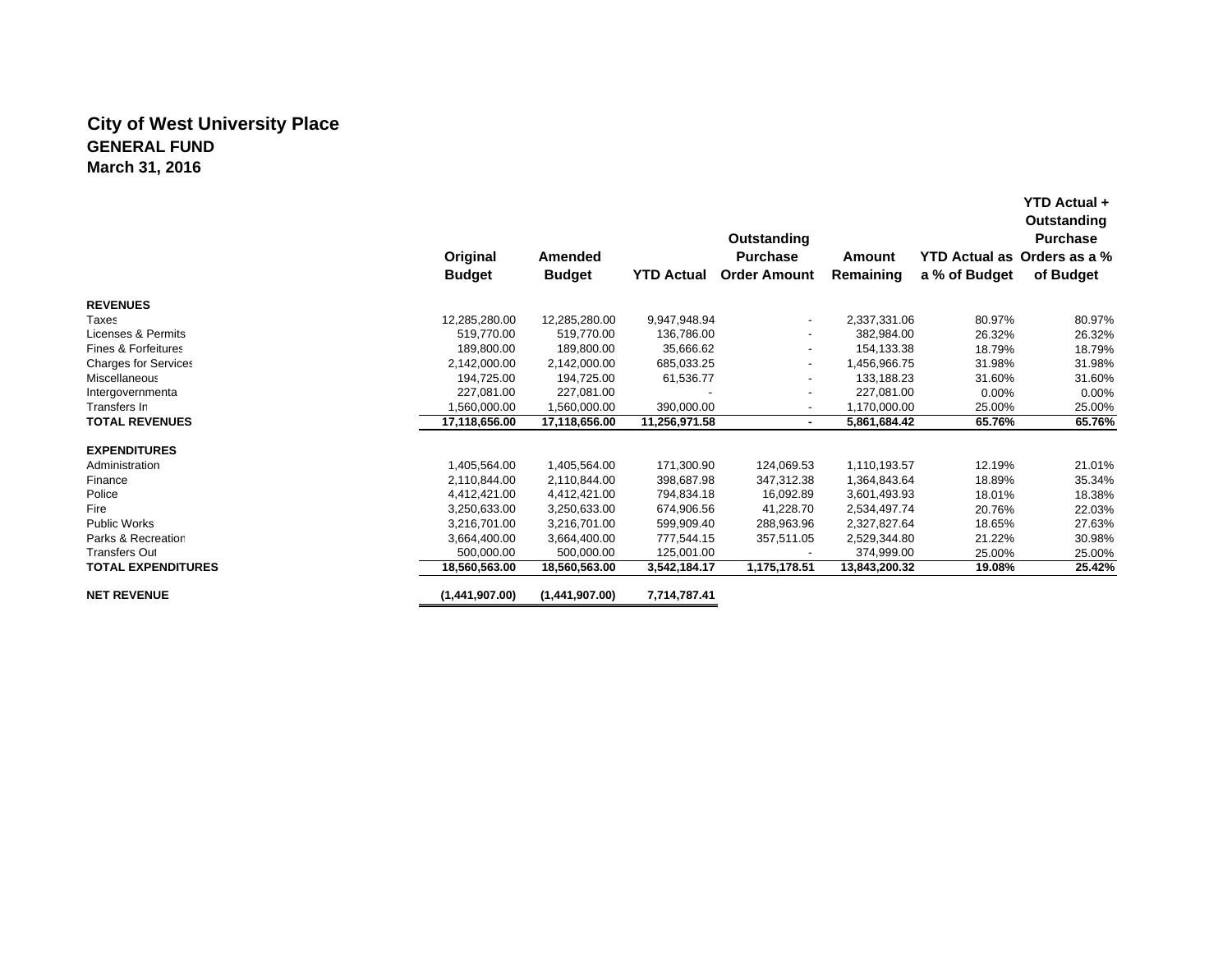## **City of West University Place GENERAL FUNDMarch 31, 2016**

|                                |                |                |                   | Outstanding              |               |                      | YTD Actual +<br>Outstanding<br><b>Purchase</b> |
|--------------------------------|----------------|----------------|-------------------|--------------------------|---------------|----------------------|------------------------------------------------|
|                                | Original       | Amended        |                   | <b>Purchase</b>          | Amount        | <b>YTD Actual as</b> | Orders as a %                                  |
|                                | <b>Budget</b>  | <b>Budget</b>  | <b>YTD Actual</b> | <b>Order Amount</b>      | Remaining     | a % of Budget        | of Budget                                      |
| <b>REVENUES</b>                |                |                |                   |                          |               |                      |                                                |
| Taxes                          | 12,285,280.00  | 12,285,280.00  | 9,947,948.94      | $\overline{\phantom{a}}$ | 2,337,331.06  | 80.97%               | 80.97%                                         |
| Licenses & Permits             | 519.770.00     | 519,770.00     | 136,786.00        |                          | 382,984.00    | 26.32%               | 26.32%                                         |
| <b>Fines &amp; Forfeitures</b> | 189,800.00     | 189.800.00     | 35,666.62         | $\overline{\phantom{a}}$ | 154.133.38    | 18.79%               | 18.79%                                         |
| <b>Charges for Services</b>    | 2,142,000.00   | 2,142,000.00   | 685,033.25        | $\blacksquare$           | 1,456,966.75  | 31.98%               | 31.98%                                         |
| Miscellaneous                  | 194,725.00     | 194.725.00     | 61,536.77         | $\overline{\phantom{a}}$ | 133.188.23    | 31.60%               | 31.60%                                         |
| Intergovernmenta               | 227.081.00     | 227.081.00     |                   | $\overline{\phantom{a}}$ | 227.081.00    | $0.00\%$             | 0.00%                                          |
| Transfers In                   | 1.560.000.00   | 1,560,000.00   | 390,000.00        | $\blacksquare$           | 1.170.000.00  | 25.00%               | 25.00%                                         |
| <b>TOTAL REVENUES</b>          | 17,118,656.00  | 17,118,656.00  | 11,256,971.58     | ٠                        | 5,861,684.42  | 65.76%               | 65.76%                                         |
| <b>EXPENDITURES</b>            |                |                |                   |                          |               |                      |                                                |
| Administration                 | 1,405,564.00   | 1,405,564.00   | 171,300.90        | 124,069.53               | 1,110,193.57  | 12.19%               | 21.01%                                         |
| Finance                        | 2,110,844.00   | 2,110,844.00   | 398,687.98        | 347,312.38               | 1,364,843.64  | 18.89%               | 35.34%                                         |
| Police                         | 4,412,421.00   | 4,412,421.00   | 794,834.18        | 16,092.89                | 3,601,493.93  | 18.01%               | 18.38%                                         |
| Fire                           | 3,250,633.00   | 3,250,633.00   | 674,906.56        | 41,228.70                | 2,534,497.74  | 20.76%               | 22.03%                                         |
| Public Works                   | 3,216,701.00   | 3,216,701.00   | 599,909.40        | 288,963.96               | 2,327,827.64  | 18.65%               | 27.63%                                         |
| Parks & Recreation             | 3,664,400.00   | 3,664,400.00   | 777,544.15        | 357,511.05               | 2,529,344.80  | 21.22%               | 30.98%                                         |
| <b>Transfers Out</b>           | 500,000.00     | 500,000.00     | 125,001.00        |                          | 374,999.00    | 25.00%               | 25.00%                                         |
| <b>TOTAL EXPENDITURES</b>      | 18,560,563.00  | 18,560,563.00  | 3,542,184.17      | 1,175,178.51             | 13,843,200.32 | 19.08%               | 25.42%                                         |
| <b>NET REVENUE</b>             | (1,441,907.00) | (1,441,907.00) | 7,714,787.41      |                          |               |                      |                                                |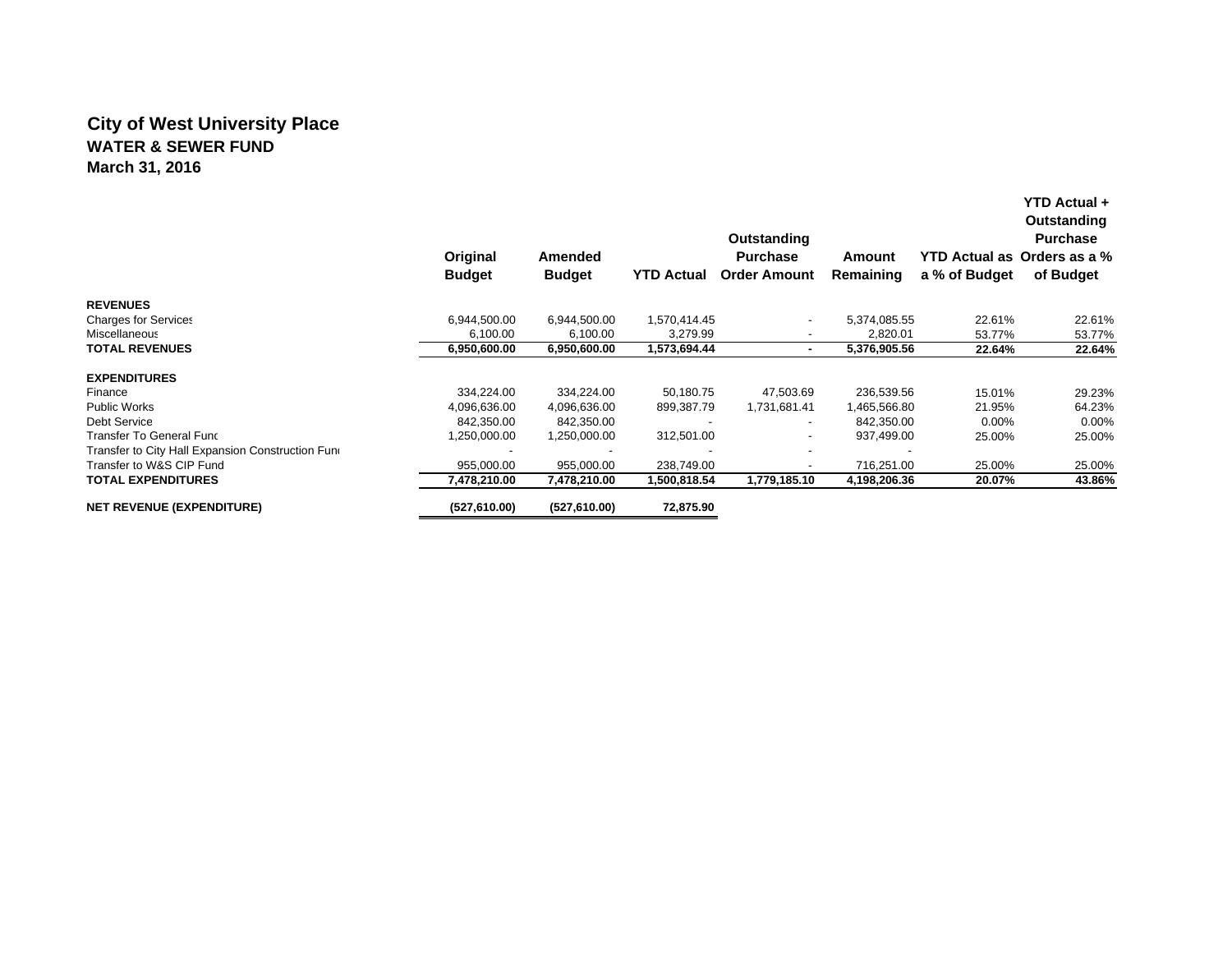## **City of West University Place WATER & SEWER FUNDMarch 31, 2016**

|                                                   |               |               |                   | Outstanding              |              |               | Outstanding<br><b>Purchase</b><br>YTD Actual as Orders as a % |
|---------------------------------------------------|---------------|---------------|-------------------|--------------------------|--------------|---------------|---------------------------------------------------------------|
|                                                   | Original      | Amended       |                   | <b>Purchase</b>          | Amount       |               |                                                               |
|                                                   | <b>Budget</b> | <b>Budget</b> | <b>YTD Actual</b> | <b>Order Amount</b>      | Remaining    | a % of Budget | of Budget                                                     |
| <b>REVENUES</b>                                   |               |               |                   |                          |              |               |                                                               |
| <b>Charges for Services</b>                       | 6,944,500.00  | 6,944,500.00  | 1,570,414.45      | $\overline{\phantom{a}}$ | 5,374,085.55 | 22.61%        | 22.61%                                                        |
| Miscellaneous                                     | 6,100.00      | 6,100.00      | 3,279.99          | $\overline{\phantom{a}}$ | 2,820.01     | 53.77%        | 53.77%                                                        |
| <b>TOTAL REVENUES</b>                             | 6,950,600.00  | 6,950,600.00  | 1,573,694.44      | ۰                        | 5,376,905.56 | 22.64%        | 22.64%                                                        |
| <b>EXPENDITURES</b>                               |               |               |                   |                          |              |               |                                                               |
| Finance                                           | 334,224.00    | 334,224.00    | 50.180.75         | 47,503.69                | 236,539.56   | 15.01%        | 29.23%                                                        |
| <b>Public Works</b>                               | 4,096,636.00  | 4,096,636.00  | 899,387.79        | 1,731,681.41             | 1,465,566.80 | 21.95%        | 64.23%                                                        |
| Debt Service                                      | 842,350.00    | 842,350.00    |                   | $\overline{\phantom{a}}$ | 842,350.00   | $0.00\%$      | $0.00\%$                                                      |
| Transfer To General Func                          | 1,250,000.00  | 1,250,000.00  | 312,501.00        | $\overline{\phantom{a}}$ | 937,499.00   | 25.00%        | 25.00%                                                        |
| Transfer to City Hall Expansion Construction Funo |               |               |                   | $\overline{\phantom{a}}$ |              |               |                                                               |
| Transfer to W&S CIP Fund                          | 955,000.00    | 955,000.00    | 238,749.00        | $\overline{\phantom{a}}$ | 716,251.00   | 25.00%        | 25.00%                                                        |
| <b>TOTAL EXPENDITURES</b>                         | 7,478,210.00  | 7,478,210.00  | 1,500,818.54      | 1,779,185.10             | 4,198,206.36 | 20.07%        | 43.86%                                                        |
| <b>NET REVENUE (EXPENDITURE)</b>                  | (527,610.00)  | (527,610.00)  | 72,875.90         |                          |              |               |                                                               |

**YTD Actual +**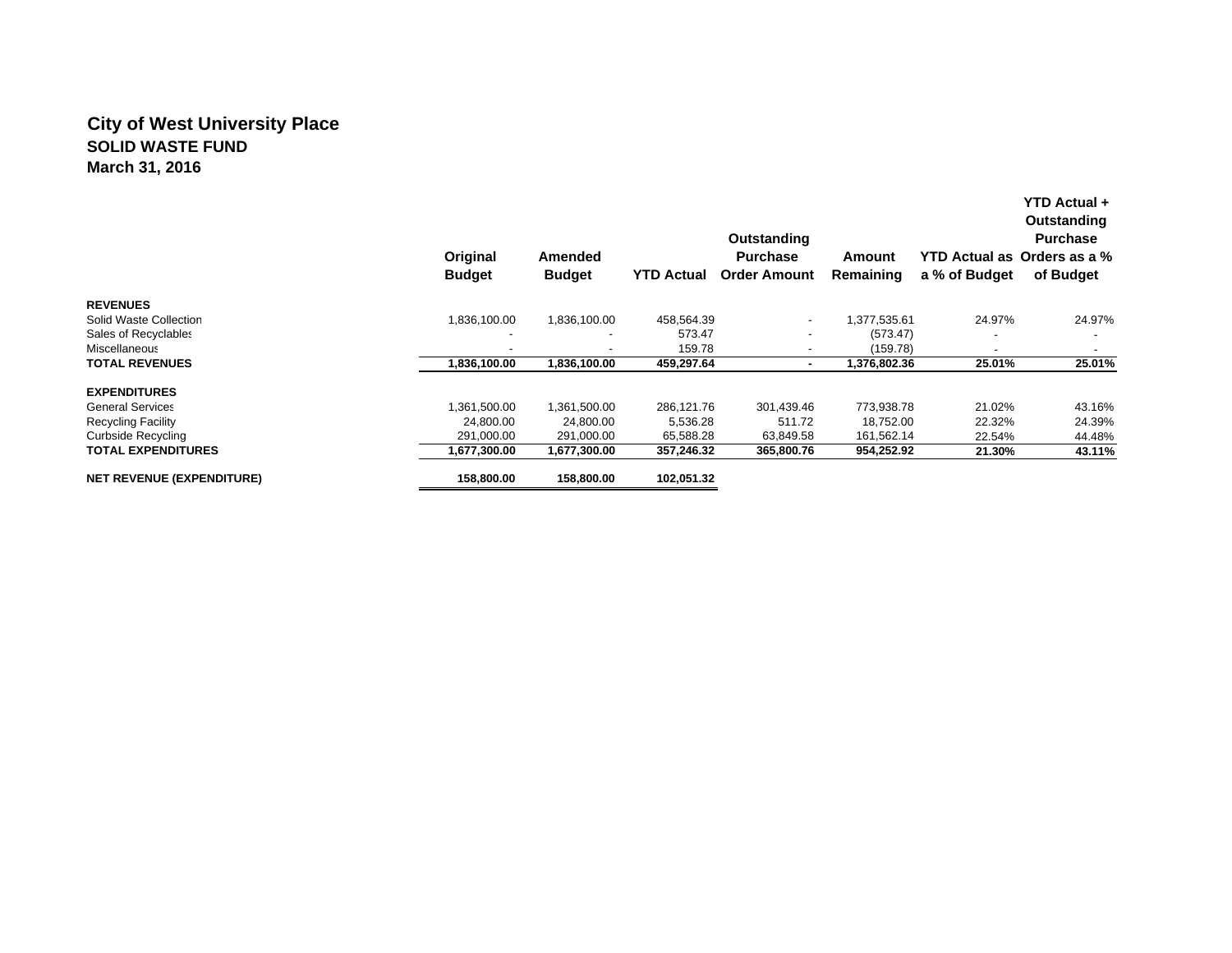## **City of West University Place SOLID WASTE FUNDMarch 31, 2016**

|                                  | Original<br><b>Budget</b> | Amended<br><b>Budget</b> | <b>YTD Actual</b> | Outstanding<br><b>Purchase</b><br><b>Order Amount</b> | Amount<br>Remaining | a % of Budget | YTD Actual +<br>Outstanding<br><b>Purchase</b><br>YTD Actual as Orders as a %<br>of Budget |
|----------------------------------|---------------------------|--------------------------|-------------------|-------------------------------------------------------|---------------------|---------------|--------------------------------------------------------------------------------------------|
| <b>REVENUES</b>                  |                           |                          |                   |                                                       |                     |               |                                                                                            |
| Solid Waste Collection           | 1,836,100.00              | 1,836,100.00             | 458,564.39        | $\overline{\phantom{a}}$                              | 1,377,535.61        | 24.97%        | 24.97%                                                                                     |
| Sales of Recyclables             |                           |                          | 573.47            | $\overline{\phantom{0}}$                              | (573.47)            |               |                                                                                            |
| Miscellaneous                    |                           | $\overline{\phantom{0}}$ | 159.78            |                                                       | (159.78)            |               | $\blacksquare$                                                                             |
| <b>TOTAL REVENUES</b>            | 1,836,100.00              | 1,836,100.00             | 459,297.64        | ۰.                                                    | 1,376,802.36        | 25.01%        | 25.01%                                                                                     |
| <b>EXPENDITURES</b>              |                           |                          |                   |                                                       |                     |               |                                                                                            |
| <b>General Services</b>          | 1,361,500.00              | 1,361,500.00             | 286,121.76        | 301,439.46                                            | 773,938.78          | 21.02%        | 43.16%                                                                                     |
| <b>Recycling Facility</b>        | 24,800.00                 | 24.800.00                | 5,536.28          | 511.72                                                | 18.752.00           | 22.32%        | 24.39%                                                                                     |
| Curbside Recycling               | 291,000.00                | 291.000.00               | 65,588.28         | 63,849.58                                             | 161,562.14          | 22.54%        | 44.48%                                                                                     |
| <b>TOTAL EXPENDITURES</b>        | 1,677,300.00              | 1,677,300.00             | 357,246.32        | 365,800.76                                            | 954,252.92          | 21.30%        | 43.11%                                                                                     |
| <b>NET REVENUE (EXPENDITURE)</b> | 158,800.00                | 158,800.00               | 102,051.32        |                                                       |                     |               |                                                                                            |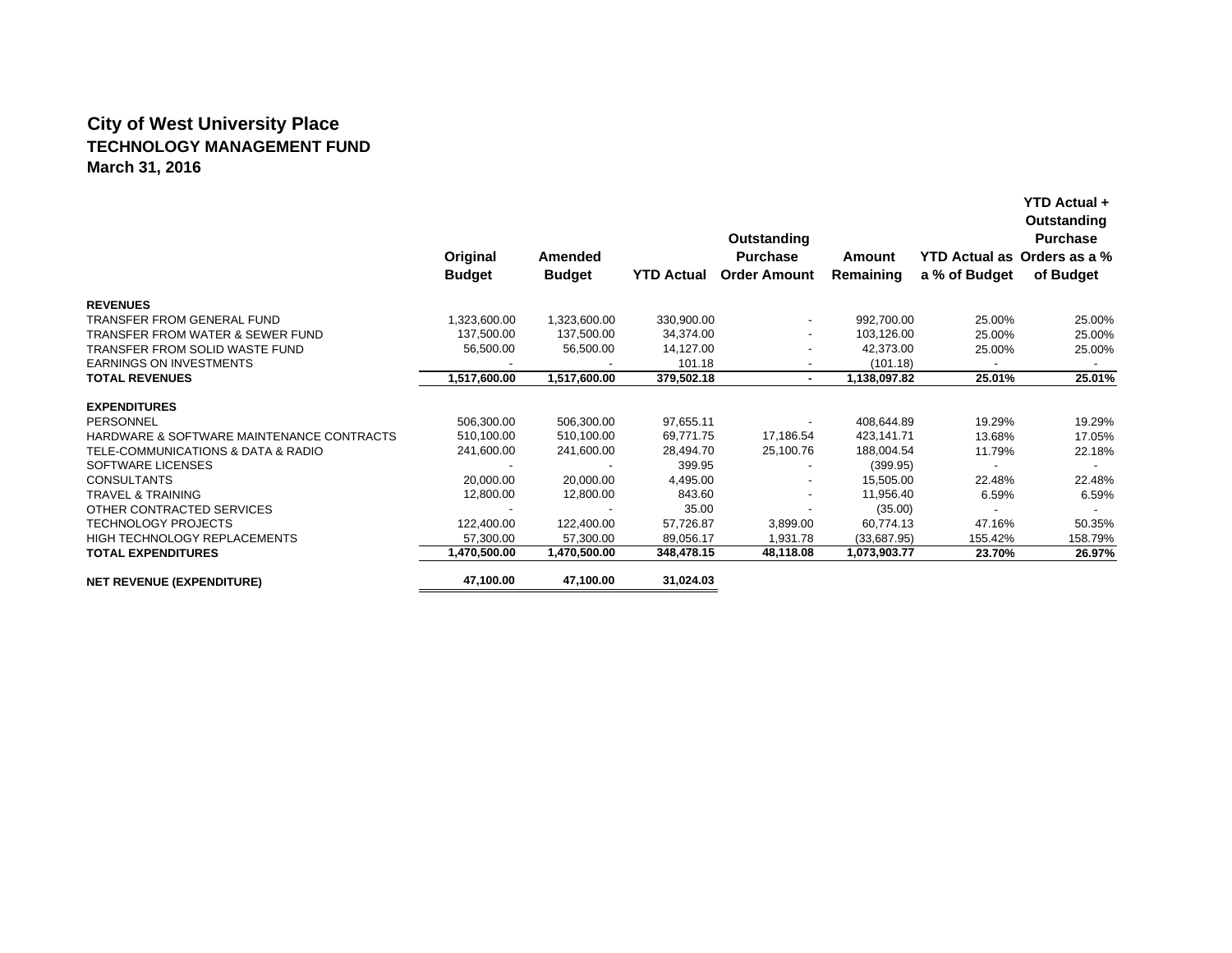# **City of West University Place TECHNOLOGY MANAGEMENT FUND March 31, 2016**

|                                           |               |                |                   | Outstanding              |              |               | Outstanding<br><b>Purchase</b> |  |
|-------------------------------------------|---------------|----------------|-------------------|--------------------------|--------------|---------------|--------------------------------|--|
|                                           | Original      | <b>Amended</b> |                   | <b>Purchase</b>          | Amount       |               | YTD Actual as Orders as a %    |  |
|                                           | <b>Budget</b> | <b>Budget</b>  | <b>YTD Actual</b> | <b>Order Amount</b>      | Remaining    | a % of Budget | of Budget                      |  |
| <b>REVENUES</b>                           |               |                |                   |                          |              |               |                                |  |
| TRANSFER FROM GENERAL FUND                | 1,323,600.00  | 1,323,600.00   | 330,900.00        | $\sim$                   | 992,700.00   | 25.00%        | 25.00%                         |  |
| TRANSFER FROM WATER & SEWER FUND          | 137,500.00    | 137,500.00     | 34,374.00         | $\overline{\phantom{a}}$ | 103,126.00   | 25.00%        | 25.00%                         |  |
| TRANSFER FROM SOLID WASTE FUND            | 56,500.00     | 56,500.00      | 14,127.00         | $\overline{\phantom{a}}$ | 42,373.00    | 25.00%        | 25.00%                         |  |
| <b>EARNINGS ON INVESTMENTS</b>            |               |                | 101.18            | $\overline{\phantom{a}}$ | (101.18)     |               |                                |  |
| <b>TOTAL REVENUES</b>                     | 1,517,600.00  | 1,517,600.00   | 379,502.18        | $\sim$                   | 1,138,097.82 | 25.01%        | 25.01%                         |  |
| <b>EXPENDITURES</b>                       |               |                |                   |                          |              |               |                                |  |
| PERSONNEL                                 | 506,300.00    | 506,300.00     | 97,655.11         | $\overline{\phantom{a}}$ | 408,644.89   | 19.29%        | 19.29%                         |  |
| HARDWARE & SOFTWARE MAINTENANCE CONTRACTS | 510,100.00    | 510,100.00     | 69,771.75         | 17,186.54                | 423,141.71   | 13.68%        | 17.05%                         |  |
| TELE-COMMUNICATIONS & DATA & RADIO        | 241,600.00    | 241,600.00     | 28,494.70         | 25,100.76                | 188,004.54   | 11.79%        | 22.18%                         |  |
| SOFTWARE LICENSES                         |               |                | 399.95            | $\overline{\phantom{a}}$ | (399.95)     |               | $\overline{\phantom{a}}$       |  |
| <b>CONSULTANTS</b>                        | 20,000.00     | 20,000.00      | 4,495.00          | $\overline{\phantom{a}}$ | 15,505.00    | 22.48%        | 22.48%                         |  |
| <b>TRAVEL &amp; TRAINING</b>              | 12,800.00     | 12,800.00      | 843.60            | $\overline{\phantom{a}}$ | 11,956.40    | 6.59%         | 6.59%                          |  |
| OTHER CONTRACTED SERVICES                 |               |                | 35.00             |                          | (35.00)      |               |                                |  |
| TECHNOLOGY PROJECTS                       | 122,400.00    | 122,400.00     | 57,726.87         | 3,899.00                 | 60,774.13    | 47.16%        | 50.35%                         |  |
| <b>HIGH TECHNOLOGY REPLACEMENTS</b>       | 57,300.00     | 57,300.00      | 89,056.17         | 1,931.78                 | (33,687.95)  | 155.42%       | 158.79%                        |  |
| <b>TOTAL EXPENDITURES</b>                 | 1,470,500.00  | 1,470,500.00   | 348,478.15        | 48,118.08                | 1,073,903.77 | 23.70%        | 26.97%                         |  |
| <b>NET REVENUE (EXPENDITURE)</b>          | 47,100.00     | 47,100.00      | 31,024.03         |                          |              |               |                                |  |

**YTD Actual +**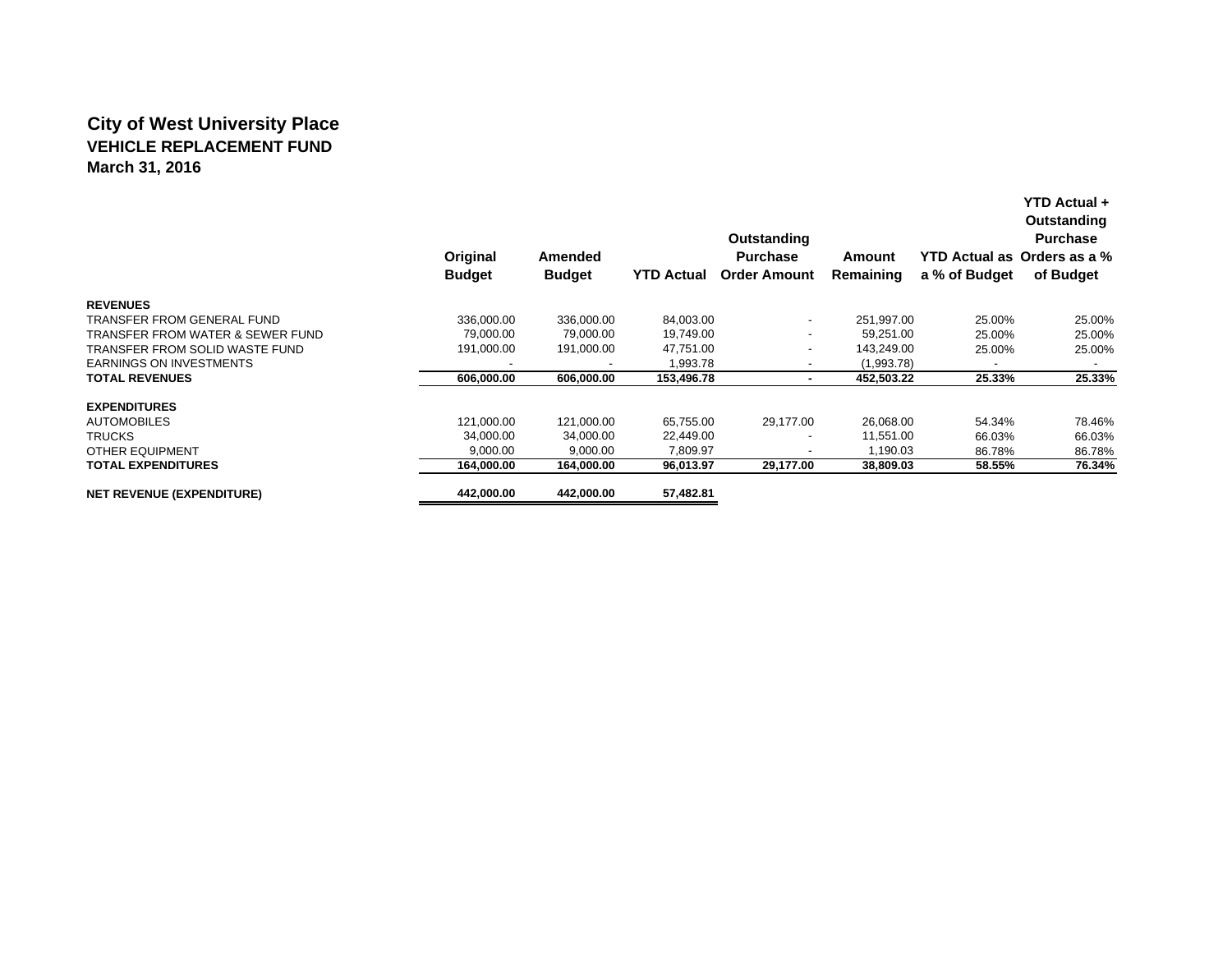## **City of West University Place VEHICLE REPLACEMENT FUNDMarch 31, 2016**

|                                  |               |               |                   | Outstanding              |            | Outstanding<br><b>Purchase</b> |                             |  |
|----------------------------------|---------------|---------------|-------------------|--------------------------|------------|--------------------------------|-----------------------------|--|
|                                  | Original      | Amended       |                   | <b>Purchase</b>          | Amount     |                                | YTD Actual as Orders as a % |  |
|                                  | <b>Budget</b> | <b>Budget</b> | <b>YTD Actual</b> | <b>Order Amount</b>      | Remaining  | a % of Budget                  | of Budget                   |  |
| <b>REVENUES</b>                  |               |               |                   |                          |            |                                |                             |  |
| TRANSFER FROM GENERAL FUND       | 336,000.00    | 336,000.00    | 84,003.00         | $\overline{\phantom{a}}$ | 251,997.00 | 25.00%                         | 25.00%                      |  |
| TRANSFER FROM WATER & SEWER FUND | 79.000.00     | 79.000.00     | 19.749.00         | -                        | 59.251.00  | 25.00%                         | 25.00%                      |  |
| TRANSFER FROM SOLID WASTE FUND   | 191,000.00    | 191,000.00    | 47.751.00         | ٠                        | 143,249.00 | 25.00%                         | 25.00%                      |  |
| <b>EARNINGS ON INVESTMENTS</b>   |               |               | 1,993.78          |                          | (1,993.78) | $\overline{\phantom{a}}$       |                             |  |
| <b>TOTAL REVENUES</b>            | 606,000.00    | 606,000.00    | 153,496.78        | ۰                        | 452,503.22 | 25.33%                         | 25.33%                      |  |
| <b>EXPENDITURES</b>              |               |               |                   |                          |            |                                |                             |  |
| <b>AUTOMOBILES</b>               | 121.000.00    | 121,000.00    | 65,755.00         | 29,177.00                | 26,068.00  | 54.34%                         | 78.46%                      |  |
| <b>TRUCKS</b>                    | 34,000.00     | 34,000.00     | 22,449.00         | $\overline{\phantom{a}}$ | 11.551.00  | 66.03%                         | 66.03%                      |  |
| <b>OTHER EQUIPMENT</b>           | 9.000.00      | 9.000.00      | 7.809.97          | -                        | 1.190.03   | 86.78%                         | 86.78%                      |  |
| <b>TOTAL EXPENDITURES</b>        | 164,000.00    | 164,000.00    | 96,013.97         | 29,177.00                | 38,809.03  | 58.55%                         | 76.34%                      |  |
| <b>NET REVENUE (EXPENDITURE)</b> | 442,000.00    | 442,000.00    | 57,482.81         |                          |            |                                |                             |  |

**YTD Actual +**